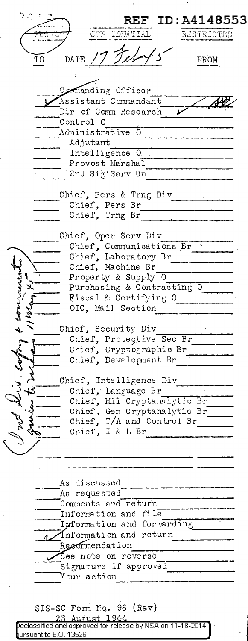**REF ID:A4148553** DENTIAL RESTRICTED DATE TΟ FROM Commanding Officer Assistant Commandant Dir of Comm Research Control O .<br>Administrative 0 Adjutant Intelligence 0 Provost Marshal 2nd Sig Serv Bn Chief, Pers & Trng Div Chief, Pers Br Chief, Trng Br Chief, Oper Serv Div Chief, Communications Br ...<br>Chief, Laboratory Br Chief, Machine Br Property & Supply O Purchasing & Contracting Fiscal & Certifying O OIC, Mail Section Chief, Security Div Chief, Protective Sec Br Chief, Cryptographic Br Chief, Development Br Chief, Intelligence Div Chief, Language Br Chief, Mil Cryptanalytic Br Chief, Gen Cryptanalytic Br Chief, T/A and Control Br \_\_<br>Chief, I & L Br As discussed As requested Comments and return Information and file Information and forwarding Information and return Recommendation See note on reverse Signature if approved Your action SIS-SC Form No. 96 (Rev) 1944 <u>August</u> Declassified and approved for release by NSA on 11-18-2014. <u>ursuant to E.O. 13526.</u>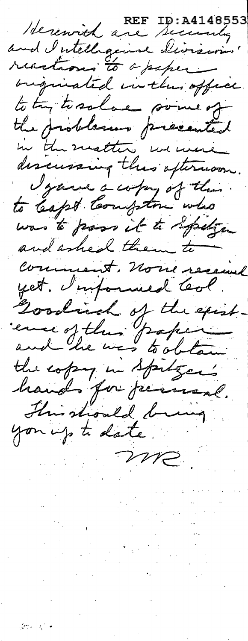Herewith are Security reactions to a paper originated in the office. to try to solve some of the problems presented discussing this oftenwoon. Igane a copy of the. was to pross it to spelge and asked them to Comment, none received yet. Impound leal. Goodrich of the exist. the copy in Spitzer's hands for jurisme. This should bring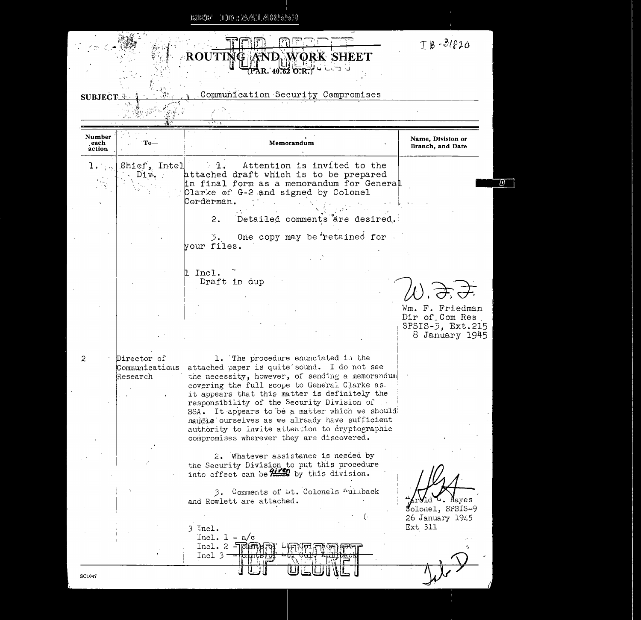| <b>SUBJECT</b>           |                                           |                                                                                                                                                                                                                                                                                                                                                                                                                                                                                         |                                                                         |
|--------------------------|-------------------------------------------|-----------------------------------------------------------------------------------------------------------------------------------------------------------------------------------------------------------------------------------------------------------------------------------------------------------------------------------------------------------------------------------------------------------------------------------------------------------------------------------------|-------------------------------------------------------------------------|
|                          |                                           | Communication Security Compromises                                                                                                                                                                                                                                                                                                                                                                                                                                                      |                                                                         |
|                          |                                           |                                                                                                                                                                                                                                                                                                                                                                                                                                                                                         |                                                                         |
|                          |                                           | ハベル                                                                                                                                                                                                                                                                                                                                                                                                                                                                                     |                                                                         |
| Number<br>each<br>action | . То—                                     | Memorandum                                                                                                                                                                                                                                                                                                                                                                                                                                                                              | Name, Division or<br>Branch, and Date                                   |
| $1 \ldots$               | Chief, Intel<br>Div.                      | Attention is invited to the<br>$\sim 1$<br>attached draft which is to be prepared<br>in final form as a memorandum for General<br>Clarke of G-2 and signed by Colonel<br>Corderman.                                                                                                                                                                                                                                                                                                     |                                                                         |
|                          |                                           | 2.<br>Detailed comments are desired.<br>One copy may be retained for<br>3.<br>your files.                                                                                                                                                                                                                                                                                                                                                                                               |                                                                         |
|                          |                                           | Incl.<br>Draft in dup                                                                                                                                                                                                                                                                                                                                                                                                                                                                   | Wm. F. Friedman<br>Dir of Com Res<br>SPSIS-5, Ext.215<br>8 January 1945 |
| 2                        | Director of<br>Communications<br>Research | 1. The procedure enunciated in the<br>attached paper is quite sound. I do not see<br>the necessity, however, of sending a memorandum<br>covering the full scope to General Clarke as.<br>it appears that this matter is definitely the<br>responsibility of the Security Division of<br>SSA. It appears to be a matter which we should<br>handle ourselves as we already have sufficient<br>authority to invite attention to cryptographic<br>compromises wherever they are discovered. |                                                                         |
|                          |                                           | 2. Whatever assistance is needed by<br>the Security Division to put this procedure<br>into effect can be 2150 by this division.<br>3. Comments of Lt. Colonels Auliback<br>and Rowlett are attached.<br>3 Incl.<br>$Incl. I - n/c$<br>$Incl. 2 - Elim$<br>Incl 3                                                                                                                                                                                                                        | <b>M</b> ld • . Hayes<br>Colonel, SPSIS-9<br>26 January 1945<br>Ext 311 |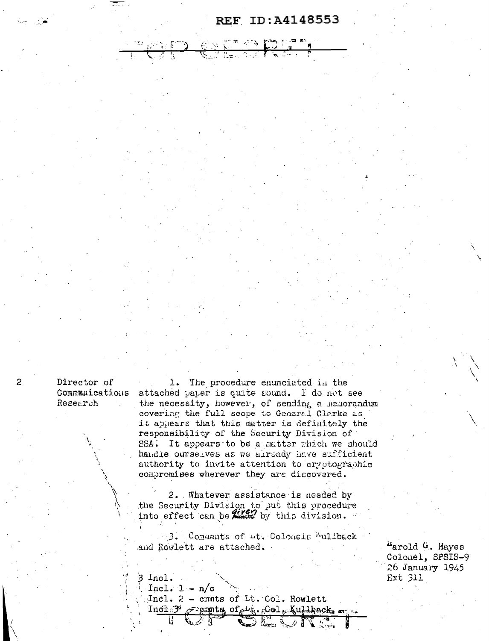## REF ID:A4148553

Director of Research

1. The procedure enunciated in the Communications attached paper is quite sound. I do not see the necessity, however, of sending a memorandum covering the full scope to General Clarke as it appears that this matter is definitely the responsibility of the Security Division of SSA. It appears to be a matter which we should handle ourselves as we already have sufficient authority to invite attention to cryptographic compromises wherever they are discovered.

> 2. Whatever assistance is needed by the Security Division to put this procedure into effect can be that by this division.

> 3. Comments of Lt. Coloneis Auliback and Rowlett are attached.

"arold G. Hayes Colonel, SPSIS-9 26 January 1945 Ext 311

 $3$  Incl.

Incl.  $1 - n/c$ Incl. 2 - cmmts of Lt. Col. Rowlett semata of the fool Kullback man  $Inc1.3$ 

 $\mathbb{Z}^{\mathbb{Z}_p}$  in  $\mathbb{Z}^{\mathbb{Z}_p}$ 

 $\mathbf{z}$